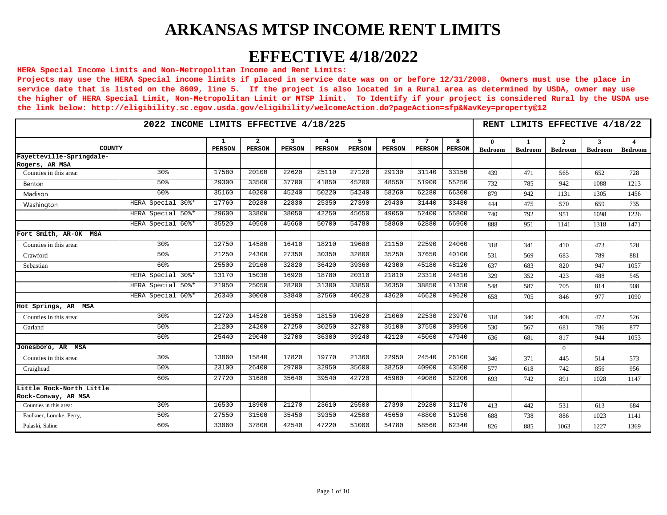## **EFFECTIVE 4/18/2022**

#### **HERA Special Income Limits and Non-Metropolitan Income and Rent Limits:**

|                                                 | 2022 INCOME LIMITS EFFECTIVE 4/18/225<br>5<br>7<br>$\mathbf{1}$<br>$\overline{a}$<br>3<br>6<br>4 |               |               |               |               |               |               |               |                    |                         |                                | RENT LIMITS EFFECTIVE 4/18/22  |                     |                |  |  |  |  |  |
|-------------------------------------------------|--------------------------------------------------------------------------------------------------|---------------|---------------|---------------|---------------|---------------|---------------|---------------|--------------------|-------------------------|--------------------------------|--------------------------------|---------------------|----------------|--|--|--|--|--|
| COUNTY                                          |                                                                                                  | <b>PERSON</b> | <b>PERSON</b> | <b>PERSON</b> | <b>PERSON</b> | <b>PERSON</b> | <b>PERSON</b> | <b>PERSON</b> | 8<br><b>PERSON</b> | $\mathbf{0}$<br>Bedroom | $\mathbf{1}$<br><b>Bedroom</b> | <sup>2</sup><br><b>Bedroom</b> | 3<br><b>Bedroom</b> | <b>Bedroom</b> |  |  |  |  |  |
| Fayetteville-Springdale-<br>Rogers, AR MSA      |                                                                                                  |               |               |               |               |               |               |               |                    |                         |                                |                                |                     |                |  |  |  |  |  |
| Counties in this area:                          | 30 <sup>8</sup>                                                                                  | 17580         | 20100         | 22620         | 25110         | 27120         | 29130         | 31140         | 33150              | 439                     | 471                            | 565                            | 652                 | 728            |  |  |  |  |  |
| Benton                                          | 50%                                                                                              | 29300         | 33500         | 37700         | 41850         | 45200         | 48550         | 51900         | 55250              | 732                     | 785                            | 942                            | 1088                | 1213           |  |  |  |  |  |
| Madison                                         | 60%                                                                                              | 35160         | 40200         | 45240         | 50220         | 54240         | 58260         | 62280         | 66300              | 879                     | 942                            | 1131                           | 1305                | 1456           |  |  |  |  |  |
| Washington                                      | HERA Special 30%*                                                                                | 17760         | 20280         | 22830         | 25350         | 27390         | 29430         | 31440         | 33480              | 444                     | 475                            | 570                            | 659                 | 735            |  |  |  |  |  |
|                                                 | HERA Special 50%*                                                                                | 29600         | 33800         | 38050         | 42250         | 45650         | 49050         | 52400         | 55800              | 740                     | 792                            | 951                            | 1098                | 1226           |  |  |  |  |  |
|                                                 | HERA Special 60%*                                                                                | 35520         | 40560         | 45660         | 50700         | 54780         | 58860         | 62880         | 66960              | 888                     | 951                            | 1141                           | 1318                | 1471           |  |  |  |  |  |
| Fort Smith, AR-OK<br>MSA                        |                                                                                                  |               |               |               |               |               |               |               |                    |                         |                                |                                |                     |                |  |  |  |  |  |
| Counties in this area:                          | 30 <sup>8</sup>                                                                                  | 12750         | 14580         | 16410         | 18210         | 19680         | 21150         | 22590         | 24060              | 318                     | 341                            | 410                            | 473                 | 528            |  |  |  |  |  |
| Crawford                                        | 50%                                                                                              | 21250         | 24300         | 27350         | 30350         | 32800         | 35250         | 37650         | 40100              | 531                     | 569                            | 683                            | 789                 | 881            |  |  |  |  |  |
| Sebastian                                       | 60 <sup>8</sup>                                                                                  | 25500         | 29160         | 32820         | 36420         | 39360         | 42300         | 45180         | 48120              | 637                     | 683                            | 820                            | 947                 | 1057           |  |  |  |  |  |
|                                                 | HERA Special 30%*                                                                                | 13170         | 15030         | 16920         | 18780         | 20310         | 21810         | 23310         | 24810              | 329                     | 352                            | 423                            | 488                 | 545            |  |  |  |  |  |
|                                                 | HERA Special 50%*                                                                                | 21950         | 25050         | 28200         | 31300         | 33850         | 36350         | 38850         | 41350              | 548                     | 587                            | 705                            | 814                 | 908            |  |  |  |  |  |
|                                                 | HERA Special 60%*                                                                                | 26340         | 30060         | 33840         | 37560         | 40620         | 43620         | 46620         | 49620              | 658                     | 705                            | 846                            | 977                 | 1090           |  |  |  |  |  |
| Hot Springs, AR MSA                             |                                                                                                  |               |               |               |               |               |               |               |                    |                         |                                |                                |                     |                |  |  |  |  |  |
| Counties in this area:                          | 30 <sup>8</sup>                                                                                  | 12720         | 14520         | 16350         | 18150         | 19620         | 21060         | 22530         | 23970              | 318                     | 340                            | 408                            | 472                 | 526            |  |  |  |  |  |
| Garland                                         | 50 <sup>8</sup>                                                                                  | 21200         | 24200         | 27250         | 30250         | 32700         | 35100         | 37550         | 39950              | 530                     | 567                            | 681                            | 786                 | 877            |  |  |  |  |  |
|                                                 | 60%                                                                                              | 25440         | 29040         | 32700         | 36300         | 39240         | 42120         | 45060         | 47940              | 636                     | 681                            | 817                            | 944                 | 1053           |  |  |  |  |  |
| Jonesboro, AR MSA                               |                                                                                                  |               |               |               |               |               |               |               |                    |                         |                                | $\Omega$                       |                     |                |  |  |  |  |  |
| Counties in this area:                          | 30%                                                                                              | 13860         | 15840         | 17820         | 19770         | 21360         | 22950         | 24540         | 26100              | 346                     | 371                            | 445                            | 514                 | 573            |  |  |  |  |  |
| Craighead                                       | 50%                                                                                              | 23100         | 26400         | 29700         | 32950         | 35600         | 38250         | 40900         | 43500              | 577                     | 618                            | 742                            | 856                 | 956            |  |  |  |  |  |
|                                                 | 60 <sup>8</sup>                                                                                  | 27720         | 31680         | 35640         | 39540         | 42720         | 45900         | 49080         | 52200              | 693                     | 742                            | 891                            | 1028                | 1147           |  |  |  |  |  |
| Little Rock-North Little<br>Rock-Conway, AR MSA |                                                                                                  |               |               |               |               |               |               |               |                    |                         |                                |                                |                     |                |  |  |  |  |  |
| Counties in this area:                          | 30 <sup>8</sup>                                                                                  | 16530         | 18900         | 21270         | 23610         | 25500         | 27390         | 29280         | 31170              | 413                     | 442                            | 531                            | 613                 | 684            |  |  |  |  |  |
| Faulkner, Lonoke, Perry,                        | 50 <sup>8</sup>                                                                                  | 27550         | 31500         | 35450         | 39350         | 42500         | 45650         | 48800         | 51950              | 688                     | 738                            | 886                            | 1023                | 1141           |  |  |  |  |  |
| Pulaski, Saline                                 | 60%                                                                                              | 33060         | 37800         | 42540         | 47220         | 51000         | 54780         | 58560         | 62340              | 826                     | 885                            | 1063                           | 1227                | 1369           |  |  |  |  |  |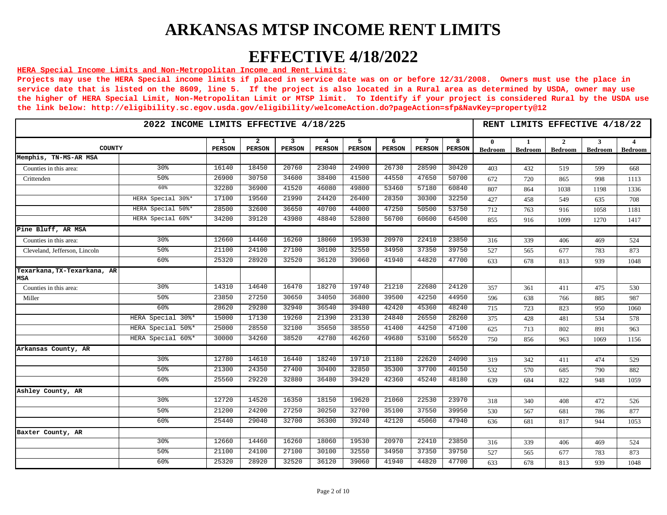## **EFFECTIVE 4/18/2022**

#### **HERA Special Income Limits and Non-Metropolitan Income and Rent Limits:**

|                                    |                   | RENT LIMITS EFFECTIVE 4/18/22 |                                 |                    |                    |                    |                    |                    |                    |                                |                |                     |                     |                                  |
|------------------------------------|-------------------|-------------------------------|---------------------------------|--------------------|--------------------|--------------------|--------------------|--------------------|--------------------|--------------------------------|----------------|---------------------|---------------------|----------------------------------|
| COUNTY                             |                   | 1<br><b>PERSON</b>            | $\overline{a}$<br><b>PERSON</b> | 3<br><b>PERSON</b> | 4<br><b>PERSON</b> | 5<br><b>PERSON</b> | 6<br><b>PERSON</b> | 7<br><b>PERSON</b> | 8<br><b>PERSON</b> | $\mathbf{0}$<br><b>Bedroom</b> | <b>Bedroom</b> | 2<br><b>Bedroom</b> | 3<br><b>Bedroom</b> | $\overline{4}$<br><b>Bedroom</b> |
| Memphis, TN-MS-AR MSA              |                   |                               |                                 |                    |                    |                    |                    |                    |                    |                                |                |                     |                     |                                  |
| Counties in this area:             | 30%               | 16140                         | 18450                           | 20760              | 23040              | 24900              | 26730              | 28590              | 30420              | 403                            | 432            | 519                 | 599                 | 668                              |
| Crittenden                         | 50 <sup>8</sup>   | 26900                         | 30750                           | 34600              | 38400              | 41500              | 44550              | 47650              | 50700              | 672                            | 720            | 865                 | 998                 | 1113                             |
|                                    | 60%               | 32280                         | 36900                           | 41520              | 46080              | 49800              | 53460              | 57180              | 60840              | 807                            | 864            | 1038                | 1198                | 1336                             |
|                                    | HERA Special 30%* | 17100                         | 19560                           | 21990              | 24420              | 26400              | 28350              | 30300              | 32250              | 427                            | 458            | 549                 | 635                 | 708                              |
|                                    | HERA Special 50%* | 28500                         | 32600                           | 36650              | 40700              | 44000              | 47250              | 50500              | 53750              | 712                            | 763            | 916                 | 1058                | 1181                             |
|                                    | HERA Special 60%* | 34200                         | 39120                           | 43980              | 48840              | 52800              | 56700              | 60600              | 64500              | 855                            | 916            | 1099                | 1270                | 1417                             |
| Pine Bluff, AR MSA                 |                   |                               |                                 |                    |                    |                    |                    |                    |                    |                                |                |                     |                     |                                  |
| Counties in this area:             | 30%               | 12660                         | 14460                           | 16260              | 18060              | 19530              | 20970              | 22410              | 23850              | 316                            | 339            | 406                 | 469                 | 524                              |
| Cleveland, Jefferson, Lincoln      | 50%               | 21100                         | 24100                           | 27100              | 30100              | 32550              | 34950              | 37350              | 39750              | 527                            | 565            | 677                 | 783                 | 873                              |
|                                    | 60%               | 25320                         | 28920                           | 32520              | 36120              | 39060              | 41940              | 44820              | 47700              | 633                            | 678            | 813                 | 939                 | 1048                             |
| Texarkana, TX-Texarkana, AR<br>MSA |                   |                               |                                 |                    |                    |                    |                    |                    |                    |                                |                |                     |                     |                                  |
| Counties in this area:             | 30%               | 14310                         | 14640                           | 16470              | 18270              | 19740              | 21210              | 22680              | 24120              | 357                            | 361            | 411                 | 475                 | 530                              |
| Miller                             | 50 <sup>8</sup>   | 23850                         | 27250                           | 30650              | 34050              | 36800              | 39500              | 42250              | 44950              | 596                            | 638            | 766                 | 885                 | 987                              |
|                                    | 60 <sup>8</sup>   | 28620                         | 29280                           | 32940              | 36540              | 39480              | 42420              | 45360              | 48240              | 715                            | 723            | 823                 | 950                 | 1060                             |
|                                    | HERA Special 30%* | 15000                         | 17130                           | 19260              | 21390              | 23130              | 24840              | 26550              | 28260              | 375                            | 428            | 481                 | 534                 | 578                              |
|                                    | HERA Special 50%* | 25000                         | 28550                           | 32100              | 35650              | 38550              | 41400              | 44250              | 47100              | 625                            | 713            | 802                 | 891                 | 963                              |
|                                    | HERA Special 60%* | 30000                         | 34260                           | 38520              | 42780              | 46260              | 49680              | 53100              | 56520              | 750                            | 856            | 963                 | 1069                | 1156                             |
| Arkansas County, AR                |                   |                               |                                 |                    |                    |                    |                    |                    |                    |                                |                |                     |                     |                                  |
|                                    | 30 <sup>8</sup>   | 12780                         | 14610                           | 16440              | 18240              | 19710              | 21180              | 22620              | 24090              | 319                            | 342            | 411                 | 474                 | 529                              |
|                                    | 50%               | 21300                         | 24350                           | 27400              | 30400              | 32850              | 35300              | 37700              | 40150              | 532                            | 570            | 685                 | 790                 | 882                              |
|                                    | 60%               | 25560                         | 29220                           | 32880              | 36480              | 39420              | 42360              | 45240              | 48180              | 639                            | 684            | 822                 | 948                 | 1059                             |
| Ashley County, AR                  |                   |                               |                                 |                    |                    |                    |                    |                    |                    |                                |                |                     |                     |                                  |
|                                    | 30%               | 12720                         | 14520                           | 16350              | 18150              | 19620              | 21060              | 22530              | 23970              | 318                            | 340            | 408                 | 472                 | 526                              |
|                                    | 50%               | 21200                         | 24200                           | 27250              | 30250              | 32700              | 35100              | 37550              | 39950              | 530                            | 567            | 681                 | 786                 | 877                              |
|                                    | 60%               | 25440                         | 29040                           | 32700              | 36300              | 39240              | 42120              | 45060              | 47940              | 636                            | 681            | 817                 | 944                 | 1053                             |
| Baxter County, AR                  |                   |                               |                                 |                    |                    |                    |                    |                    |                    |                                |                |                     |                     |                                  |
|                                    | 30%               | 12660                         | 14460                           | 16260              | 18060              | 19530              | 20970              | 22410              | 23850              | 316                            | 339            | 406                 | 469                 | 524                              |
|                                    | 50%               | 21100                         | 24100                           | 27100              | 30100              | 32550              | 34950              | 37350              | 39750              | 527                            | 565            | 677                 | 783                 | 873                              |
|                                    | 60%               | 25320                         | 28920                           | 32520              | 36120              | 39060              | 41940              | 44820              | 47700              | 633                            | 678            | 813                 | 939                 | 1048                             |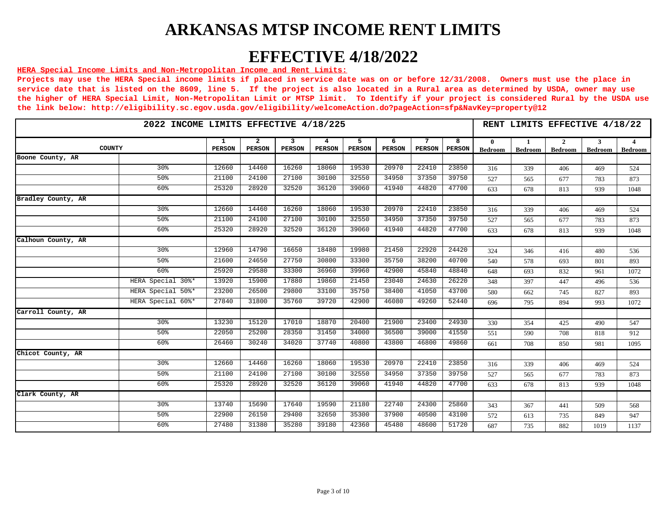## **EFFECTIVE 4/18/2022**

#### **HERA Special Income Limits and Non-Metropolitan Income and Rent Limits:**

|                    | 2022 INCOME LIMITS EFFECTIVE 4/18/225<br>5<br>7<br>1<br>$\overline{2}$<br>3<br>6<br>4<br>COUNTY |        |               |               |               |               |               |               |                    |                                |                      | RENT LIMITS EFFECTIVE 4/18/22  |                     |              |
|--------------------|-------------------------------------------------------------------------------------------------|--------|---------------|---------------|---------------|---------------|---------------|---------------|--------------------|--------------------------------|----------------------|--------------------------------|---------------------|--------------|
|                    |                                                                                                 | PERSON | <b>PERSON</b> | <b>PERSON</b> | <b>PERSON</b> | <b>PERSON</b> | <b>PERSON</b> | <b>PERSON</b> | 8<br><b>PERSON</b> | $\mathbf{0}$<br><b>Bedroom</b> | -1<br><b>Bedroom</b> | $\mathbf{2}$<br><b>Bedroom</b> | 3<br><b>Bedroom</b> | 4<br>Bedroom |
| Boone County, AR   |                                                                                                 |        |               |               |               |               |               |               |                    |                                |                      |                                |                     |              |
|                    | 30 <sup>8</sup>                                                                                 | 12660  | 14460         | 16260         | 18060         | 19530         | 20970         | 22410         | 23850              | 316                            | 339                  | 406                            | 469                 | 524          |
|                    | 50 <sup>8</sup>                                                                                 | 21100  | 24100         | 27100         | 30100         | 32550         | 34950         | 37350         | 39750              | 527                            | 565                  | 677                            | 783                 | 873          |
|                    | 60%                                                                                             | 25320  | 28920         | 32520         | 36120         | 39060         | 41940         | 44820         | 47700              | 633                            | 678                  | 813                            | 939                 | 1048         |
| Bradley County, AR |                                                                                                 |        |               |               |               |               |               |               |                    |                                |                      |                                |                     |              |
|                    | 30 <sup>8</sup>                                                                                 | 12660  | 14460         | 16260         | 18060         | 19530         | 20970         | 22410         | 23850              | 316                            | 339                  | 406                            | 469                 | 524          |
|                    | 50%                                                                                             | 21100  | 24100         | 27100         | 30100         | 32550         | 34950         | 37350         | 39750              | 527                            | 565                  | 677                            | 783                 | 873          |
|                    | 60 <sup>8</sup>                                                                                 | 25320  | 28920         | 32520         | 36120         | 39060         | 41940         | 44820         | 47700              | 633                            | 678                  | 813                            | 939                 | 1048         |
| Calhoun County, AR |                                                                                                 |        |               |               |               |               |               |               |                    |                                |                      |                                |                     |              |
|                    | 30%                                                                                             | 12960  | 14790         | 16650         | 18480         | 19980         | 21450         | 22920         | 24420              | 324                            | 346                  | 416                            | 480                 | 536          |
|                    | 50 <sup>8</sup>                                                                                 | 21600  | 24650         | 27750         | 30800         | 33300         | 35750         | 38200         | 40700              | 540                            | 578                  | 693                            | 801                 | 893          |
|                    | 60 <sup>8</sup>                                                                                 | 25920  | 29580         | 33300         | 36960         | 39960         | 42900         | 45840         | 48840              | 648                            | 693                  | 832                            | 961                 | 1072         |
|                    | HERA Special 30%*                                                                               | 13920  | 15900         | 17880         | 19860         | 21450         | 23040         | 24630         | 26220              | 348                            | 397                  | 447                            | 496                 | 536          |
|                    | HERA Special 50%*                                                                               | 23200  | 26500         | 29800         | 33100         | 35750         | 38400         | 41050         | 43700              | 580                            | 662                  | 745                            | 827                 | 893          |
|                    | HERA Special 60%*                                                                               | 27840  | 31800         | 35760         | 39720         | 42900         | 46080         | 49260         | 52440              | 696                            | 795                  | 894                            | 993                 | 1072         |
| Carroll County, AR |                                                                                                 |        |               |               |               |               |               |               |                    |                                |                      |                                |                     |              |
|                    | 30 <sup>8</sup>                                                                                 | 13230  | 15120         | 17010         | 18870         | 20400         | 21900         | 23400         | 24930              | 330                            | 354                  | 425                            | 490                 | 547          |
|                    | 50 <sup>8</sup>                                                                                 | 22050  | 25200         | 28350         | 31450         | 34000         | 36500         | 39000         | 41550              | 551                            | 590                  | 708                            | 818                 | 912          |
|                    | 60 <sup>8</sup>                                                                                 | 26460  | 30240         | 34020         | 37740         | 40800         | 43800         | 46800         | 49860              | 661                            | 708                  | 850                            | 981                 | 1095         |
| Chicot County, AR  |                                                                                                 |        |               |               |               |               |               |               |                    |                                |                      |                                |                     |              |
|                    | 30%                                                                                             | 12660  | 14460         | 16260         | 18060         | 19530         | 20970         | 22410         | 23850              | 316                            | 339                  | 406                            | 469                 | 524          |
|                    | 50 <sup>8</sup>                                                                                 | 21100  | 24100         | 27100         | 30100         | 32550         | 34950         | 37350         | 39750              | 527                            | 565                  | 677                            | 783                 | 873          |
|                    | 60 <sup>8</sup>                                                                                 | 25320  | 28920         | 32520         | 36120         | 39060         | 41940         | 44820         | 47700              | 633                            | 678                  | 813                            | 939                 | 1048         |
| Clark County, AR   |                                                                                                 |        |               |               |               |               |               |               |                    |                                |                      |                                |                     |              |
|                    | 30 <sup>8</sup>                                                                                 | 13740  | 15690         | 17640         | 19590         | 21180         | 22740         | 24300         | 25860              | 343                            | 367                  | 441                            | 509                 | 568          |
|                    | 50 <sup>8</sup>                                                                                 | 22900  | 26150         | 29400         | 32650         | 35300         | 37900         | 40500         | 43100              | 572                            | 613                  | 735                            | 849                 | 947          |
|                    | 60 <sup>8</sup>                                                                                 | 27480  | 31380         | 35280         | 39180         | 42360         | 45480         | 48600         | 51720              | 687                            | 735                  | 882                            | 1019                | 1137         |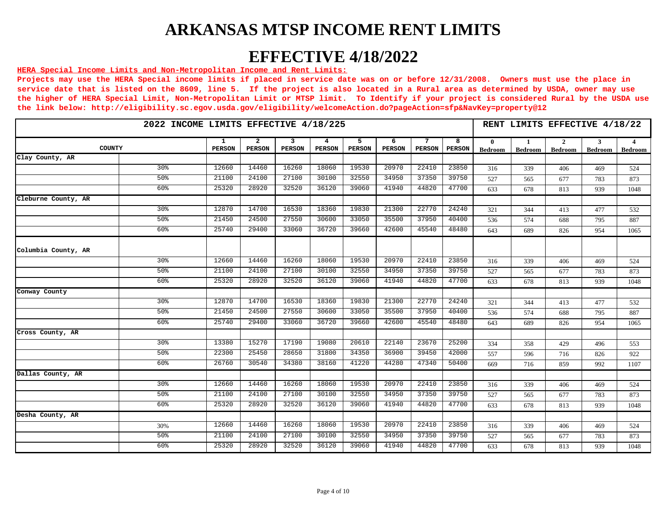## **EFFECTIVE 4/18/2022**

#### **HERA Special Income Limits and Non-Metropolitan Income and Rent Limits:**

| 2022 INCOME LIMITS EFFECTIVE 4/18/225 |                    |                                 |                                 | RENT LIMITS EFFECTIVE 4/18/22 |                    |                    |                    |                    |                                |               |                     |              |                     |
|---------------------------------------|--------------------|---------------------------------|---------------------------------|-------------------------------|--------------------|--------------------|--------------------|--------------------|--------------------------------|---------------|---------------------|--------------|---------------------|
| COUNTY                                | 1<br><b>PERSON</b> | $\overline{2}$<br><b>PERSON</b> | $\overline{3}$<br><b>PERSON</b> | 4<br><b>PERSON</b>            | 5<br><b>PERSON</b> | 6<br><b>PERSON</b> | 7<br><b>PERSON</b> | 8<br><b>PERSON</b> | $\mathbf{0}$<br><b>Bedroom</b> | -1<br>Bedroom | 2<br><b>Bedroom</b> | 3<br>Bedroom | 4<br><b>Bedroom</b> |
| Clay County, AR                       |                    |                                 |                                 |                               |                    |                    |                    |                    |                                |               |                     |              |                     |
| 30 <sup>8</sup>                       | 12660              | 14460                           | 16260                           | 18060                         | 19530              | 20970              | 22410              | 23850              | 316                            | 339           | 406                 | 469          | 524                 |
| 50%                                   | 21100              | 24100                           | 27100                           | 30100                         | 32550              | 34950              | 37350              | 39750              | 527                            | 565           | 677                 | 783          | 873                 |
| 60%                                   | 25320              | 28920                           | 32520                           | 36120                         | 39060              | 41940              | 44820              | 47700              | 633                            | 678           | 813                 | 939          | 1048                |
| Cleburne County, AR                   |                    |                                 |                                 |                               |                    |                    |                    |                    |                                |               |                     |              |                     |
| 30 <sup>8</sup>                       | 12870              | 14700                           | 16530                           | 18360                         | 19830              | 21300              | 22770              | 24240              | 321                            | 344           | 413                 | 477          | 532                 |
| 50 <sup>8</sup>                       | 21450              | 24500                           | 27550                           | 30600                         | 33050              | 35500              | 37950              | 40400              | 536                            | 574           | 688                 | 795          | 887                 |
| 60 <sup>8</sup>                       | 25740              | 29400                           | 33060                           | 36720                         | 39660              | 42600              | 45540              | 48480              | 643                            | 689           | 826                 | 954          | 1065                |
| Columbia County, AR                   |                    |                                 |                                 |                               |                    |                    |                    |                    |                                |               |                     |              |                     |
| 30 <sup>8</sup>                       | 12660              | 14460                           | 16260                           | 18060                         | 19530              | 20970              | 22410              | 23850              | 316                            | 339           | 406                 | 469          | 524                 |
| 50 <sup>8</sup>                       | 21100              | 24100                           | 27100                           | 30100                         | 32550              | 34950              | 37350              | 39750              | 527                            | 565           | 677                 | 783          | 873                 |
| 60 <sup>8</sup>                       | 25320              | 28920                           | 32520                           | 36120                         | 39060              | 41940              | 44820              | 47700              | 633                            | 678           | 813                 | 939          | 1048                |
| Conway County                         |                    |                                 |                                 |                               |                    |                    |                    |                    |                                |               |                     |              |                     |
| 30 <sup>o</sup>                       | 12870              | 14700                           | 16530                           | 18360                         | 19830              | 21300              | 22770              | 24240              | 321                            | 344           | 413                 | 477          | 532                 |
| 50 <sup>8</sup>                       | 21450              | 24500                           | 27550                           | 30600                         | 33050              | 35500              | 37950              | 40400              | 536                            | 574           | 688                 | 795          | 887                 |
| 60 <sup>8</sup>                       | 25740              | 29400                           | 33060                           | 36720                         | 39660              | 42600              | 45540              | 48480              | 643                            | 689           | 826                 | 954          | 1065                |
| Cross County, AR                      |                    |                                 |                                 |                               |                    |                    |                    |                    |                                |               |                     |              |                     |
| 30 <sup>8</sup>                       | 13380              | 15270                           | 17190                           | 19080                         | 20610              | 22140              | 23670              | 25200              | 334                            | 358           | 429                 | 496          | 553                 |
| 50 <sup>8</sup>                       | 22300              | 25450                           | 28650                           | 31800                         | 34350              | 36900              | 39450              | 42000              | 557                            | 596           | 716                 | 826          | 922                 |
| 60%                                   | 26760              | 30540                           | 34380                           | 38160                         | 41220              | 44280              | 47340              | 50400              | 669                            | 716           | 859                 | 992          | 1107                |
| Dallas County, AR                     |                    |                                 |                                 |                               |                    |                    |                    |                    |                                |               |                     |              |                     |
| 30 <sup>8</sup>                       | 12660              | 14460                           | 16260                           | 18060                         | 19530              | 20970              | 22410              | 23850              | 316                            | 339           | 406                 | 469          | 524                 |
| 50%                                   | 21100              | 24100                           | 27100                           | 30100                         | 32550              | 34950              | 37350              | 39750              | 527                            | 565           | 677                 | 783          | 873                 |
| 60 <sup>8</sup>                       | 25320              | 28920                           | 32520                           | 36120                         | 39060              | 41940              | 44820              | 47700              | 633                            | 678           | 813                 | 939          | 1048                |
| Desha County, AR                      |                    |                                 |                                 |                               |                    |                    |                    |                    |                                |               |                     |              |                     |
| 30%                                   | 12660              | 14460                           | 16260                           | 18060                         | 19530              | 20970              | 22410              | 23850              | 316                            | 339           | 406                 | 469          | 524                 |
| 50 <sub>8</sub>                       | 21100              | 24100                           | 27100                           | 30100                         | 32550              | 34950              | 37350              | 39750              | 527                            | 565           | 677                 | 783          | 873                 |
| 60%                                   | 25320              | 28920                           | 32520                           | 36120                         | 39060              | 41940              | 44820              | 47700              | 633                            | 678           | 813                 | 939          | 1048                |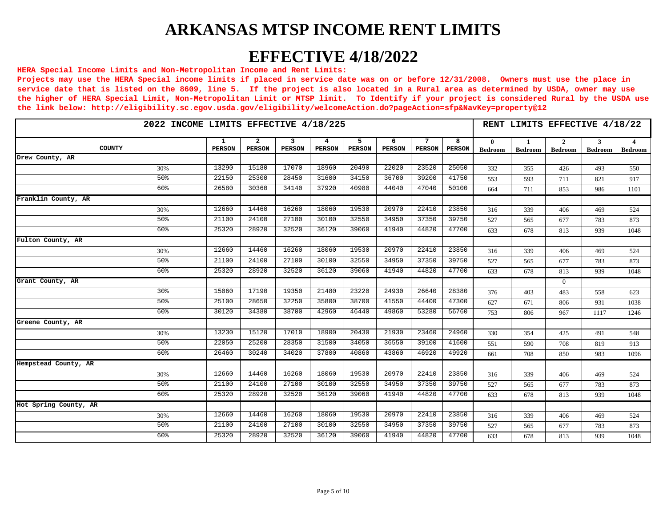## **EFFECTIVE 4/18/2022**

#### **HERA Special Income Limits and Non-Metropolitan Income and Rent Limits:**

|                       | 2022 INCOME LIMITS EFFECTIVE 4/18/225<br>7<br>$\mathbf{2}$<br>3<br>5<br>6<br>1<br>4<br>COUNTY<br><b>PERSON</b><br><b>PERSON</b><br><b>PERSON</b><br><b>PERSON</b><br><b>PERSON</b><br><b>PERSON</b><br><b>PERSON</b> |       |       |       |       |       |       |                    |                                |                      |                                  |                     | RENT LIMITS EFFECTIVE 4/18/22 |
|-----------------------|----------------------------------------------------------------------------------------------------------------------------------------------------------------------------------------------------------------------|-------|-------|-------|-------|-------|-------|--------------------|--------------------------------|----------------------|----------------------------------|---------------------|-------------------------------|
|                       |                                                                                                                                                                                                                      |       |       |       |       |       |       | 8<br><b>PERSON</b> | $\mathbf{0}$<br><b>Bedroom</b> | -1<br><b>Bedroom</b> | $\overline{2}$<br><b>Bedroom</b> | 3<br><b>Bedroom</b> | $\overline{4}$<br>Bedroom     |
| Drew County, AR       |                                                                                                                                                                                                                      |       |       |       |       |       |       |                    |                                |                      |                                  |                     |                               |
| 30%                   | 13290                                                                                                                                                                                                                | 15180 | 17070 | 18960 | 20490 | 22020 | 23520 | 25050              | 332                            | 355                  | 426                              | 493                 | 550                           |
| 50 <sup>8</sup>       | 22150                                                                                                                                                                                                                | 25300 | 28450 | 31600 | 34150 | 36700 | 39200 | 41750              | 553                            | 593                  | 711                              | 821                 | 917                           |
| 60%                   | 26580                                                                                                                                                                                                                | 30360 | 34140 | 37920 | 40980 | 44040 | 47040 | 50100              | 664                            | 711                  | 853                              | 986                 | 1101                          |
| Franklin County, AR   |                                                                                                                                                                                                                      |       |       |       |       |       |       |                    |                                |                      |                                  |                     |                               |
| 30%                   | 12660                                                                                                                                                                                                                | 14460 | 16260 | 18060 | 19530 | 20970 | 22410 | 23850              | 316                            | 339                  | 406                              | 469                 | 524                           |
| 50%                   | 21100                                                                                                                                                                                                                | 24100 | 27100 | 30100 | 32550 | 34950 | 37350 | 39750              | 527                            | 565                  | 677                              | 783                 | 873                           |
| 60 <sup>8</sup>       | 25320                                                                                                                                                                                                                | 28920 | 32520 | 36120 | 39060 | 41940 | 44820 | 47700              | 633                            | 678                  | 813                              | 939                 | 1048                          |
| Fulton County, AR     |                                                                                                                                                                                                                      |       |       |       |       |       |       |                    |                                |                      |                                  |                     |                               |
| 30%                   | 12660                                                                                                                                                                                                                | 14460 | 16260 | 18060 | 19530 | 20970 | 22410 | 23850              | 316                            | 339                  | 406                              | 469                 | 524                           |
| 50 <sup>8</sup>       | 21100                                                                                                                                                                                                                | 24100 | 27100 | 30100 | 32550 | 34950 | 37350 | 39750              | 527                            | 565                  | 677                              | 783                 | 873                           |
| 60 <sup>8</sup>       | 25320                                                                                                                                                                                                                | 28920 | 32520 | 36120 | 39060 | 41940 | 44820 | 47700              | 633                            | 678                  | 813                              | 939                 | 1048                          |
| Grant County, AR      |                                                                                                                                                                                                                      |       |       |       |       |       |       |                    |                                |                      | $\theta$                         |                     |                               |
| 30 <sup>8</sup>       | 15060                                                                                                                                                                                                                | 17190 | 19350 | 21480 | 23220 | 24930 | 26640 | 28380              | 376                            | 403                  | 483                              | 558                 | 623                           |
| 50%                   | 25100                                                                                                                                                                                                                | 28650 | 32250 | 35800 | 38700 | 41550 | 44400 | 47300              | 627                            | 671                  | 806                              | 931                 | 1038                          |
| 60 <sup>8</sup>       | 30120                                                                                                                                                                                                                | 34380 | 38700 | 42960 | 46440 | 49860 | 53280 | 56760              | 753                            | 806                  | 967                              | 1117                | 1246                          |
| Greene County, AR     |                                                                                                                                                                                                                      |       |       |       |       |       |       |                    |                                |                      |                                  |                     |                               |
| 30%                   | 13230                                                                                                                                                                                                                | 15120 | 17010 | 18900 | 20430 | 21930 | 23460 | 24960              | 330                            | 354                  | 425                              | 491                 | 548                           |
| 50 <sup>8</sup>       | 22050                                                                                                                                                                                                                | 25200 | 28350 | 31500 | 34050 | 36550 | 39100 | 41600              | 551                            | 590                  | 708                              | 819                 | 913                           |
| 60 <sup>8</sup>       | 26460                                                                                                                                                                                                                | 30240 | 34020 | 37800 | 40860 | 43860 | 46920 | 49920              | 661                            | 708                  | 850                              | 983                 | 1096                          |
| Hempstead County, AR  |                                                                                                                                                                                                                      |       |       |       |       |       |       |                    |                                |                      |                                  |                     |                               |
| 30%                   | 12660                                                                                                                                                                                                                | 14460 | 16260 | 18060 | 19530 | 20970 | 22410 | 23850              | 316                            | 339                  | 406                              | 469                 | 524                           |
| 50 <sup>8</sup>       | 21100                                                                                                                                                                                                                | 24100 | 27100 | 30100 | 32550 | 34950 | 37350 | 39750              | 527                            | 565                  | 677                              | 783                 | 873                           |
| 60 <sup>8</sup>       | 25320                                                                                                                                                                                                                | 28920 | 32520 | 36120 | 39060 | 41940 | 44820 | 47700              | 633                            | 678                  | 813                              | 939                 | 1048                          |
| Hot Spring County, AR |                                                                                                                                                                                                                      |       |       |       |       |       |       |                    |                                |                      |                                  |                     |                               |
| 30%                   | 12660                                                                                                                                                                                                                | 14460 | 16260 | 18060 | 19530 | 20970 | 22410 | 23850              | 316                            | 339                  | 406                              | 469                 | 524                           |
| 50 <sup>8</sup>       | 21100                                                                                                                                                                                                                | 24100 | 27100 | 30100 | 32550 | 34950 | 37350 | 39750              | 527                            | 565                  | 677                              | 783                 | 873                           |
| 60 <sup>8</sup>       | 25320                                                                                                                                                                                                                | 28920 | 32520 | 36120 | 39060 | 41940 | 44820 | 47700              | 633                            | 678                  | 813                              | 939                 | 1048                          |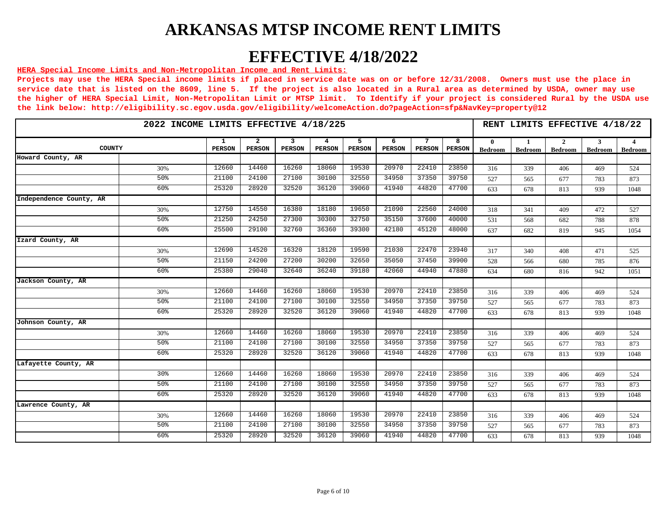## **EFFECTIVE 4/18/2022**

#### **HERA Special Income Limits and Non-Metropolitan Income and Rent Limits:**

|                         | 2022 INCOME LIMITS EFFECTIVE 4/18/225 |                    |                                 |             |                    |                    |                    |                                  |                    |                                |                                | RENT LIMITS EFFECTIVE 4/18/22    |                     |                           |
|-------------------------|---------------------------------------|--------------------|---------------------------------|-------------|--------------------|--------------------|--------------------|----------------------------------|--------------------|--------------------------------|--------------------------------|----------------------------------|---------------------|---------------------------|
| COUNTY                  |                                       | 1<br><b>PERSON</b> | $\overline{2}$<br><b>PERSON</b> | 3<br>PERSON | 4<br><b>PERSON</b> | 5<br><b>PERSON</b> | 6<br><b>PERSON</b> | $7\phantom{.0}$<br><b>PERSON</b> | 8<br><b>PERSON</b> | $\mathbf{0}$<br><b>Bedroom</b> | $\mathbf{1}$<br><b>Bedroom</b> | $\overline{2}$<br><b>Bedroom</b> | 3<br><b>Bedroom</b> | $\overline{4}$<br>Bedroom |
| Howard County, AR       |                                       |                    |                                 |             |                    |                    |                    |                                  |                    |                                |                                |                                  |                     |                           |
|                         | 30%                                   | 12660              | 14460                           | 16260       | 18060              | 19530              | 20970              | 22410                            | 23850              | 316                            | 339                            | 406                              | 469                 | 524                       |
|                         | 50 <sup>8</sup>                       | 21100              | 24100                           | 27100       | 30100              | 32550              | 34950              | 37350                            | 39750              | 527                            | 565                            | 677                              | 783                 | 873                       |
|                         | 60%                                   | 25320              | 28920                           | 32520       | 36120              | 39060              | 41940              | 44820                            | 47700              | 633                            | 678                            | 813                              | 939                 | 1048                      |
| Independence County, AR |                                       |                    |                                 |             |                    |                    |                    |                                  |                    |                                |                                |                                  |                     |                           |
|                         | 30%                                   | 12750              | 14550                           | 16380       | 18180              | 19650              | 21090              | 22560                            | 24000              | 318                            | 341                            | 409                              | 472                 | 527                       |
|                         | 50%                                   | 21250              | 24250                           | 27300       | 30300              | 32750              | 35150              | 37600                            | 40000              | 531                            | 568                            | 682                              | 788                 | 878                       |
|                         | 60 <sup>8</sup>                       | 25500              | 29100                           | 32760       | 36360              | 39300              | 42180              | 45120                            | 48000              | 637                            | 682                            | 819                              | 945                 | 1054                      |
| Izard County, AR        |                                       |                    |                                 |             |                    |                    |                    |                                  |                    |                                |                                |                                  |                     |                           |
|                         | 30%                                   | 12690              | 14520                           | 16320       | 18120              | 19590              | 21030              | 22470                            | 23940              | 317                            | 340                            | 408                              | 471                 | 525                       |
|                         | 50 <sup>8</sup>                       | 21150              | 24200                           | 27200       | 30200              | 32650              | 35050              | 37450                            | 39900              | 528                            | 566                            | 680                              | 785                 | 876                       |
|                         | 60 <sup>8</sup>                       | 25380              | 29040                           | 32640       | 36240              | 39180              | 42060              | 44940                            | 47880              | 634                            | 680                            | 816                              | 942                 | 1051                      |
| Jackson County, AR      |                                       |                    |                                 |             |                    |                    |                    |                                  |                    |                                |                                |                                  |                     |                           |
|                         | 30%                                   | 12660              | 14460                           | 16260       | 18060              | 19530              | 20970              | 22410                            | 23850              | 316                            | 339                            | 406                              | 469                 | 524                       |
|                         | 50%                                   | 21100              | 24100                           | 27100       | 30100              | 32550              | 34950              | 37350                            | 39750              | 527                            | 565                            | 677                              | 783                 | 873                       |
|                         | 60 <sup>8</sup>                       | 25320              | 28920                           | 32520       | 36120              | 39060              | 41940              | 44820                            | 47700              | 633                            | 678                            | 813                              | 939                 | 1048                      |
| Johnson County, AR      |                                       |                    |                                 |             |                    |                    |                    |                                  |                    |                                |                                |                                  |                     |                           |
|                         | 30%                                   | 12660              | 14460                           | 16260       | 18060              | 19530              | 20970              | 22410                            | 23850              | 316                            | 339                            | 406                              | 469                 | 524                       |
|                         | 50 <sub>8</sub>                       | 21100              | 24100                           | 27100       | 30100              | 32550              | 34950              | 37350                            | 39750              | 527                            | 565                            | 677                              | 783                 | 873                       |
|                         | 60 <sup>8</sup>                       | 25320              | 28920                           | 32520       | 36120              | 39060              | 41940              | 44820                            | 47700              | 633                            | 678                            | 813                              | 939                 | 1048                      |
| Lafayette County, AR    |                                       |                    |                                 |             |                    |                    |                    |                                  |                    |                                |                                |                                  |                     |                           |
|                         | 30 <sup>8</sup>                       | 12660              | 14460                           | 16260       | 18060              | 19530              | 20970              | 22410                            | 23850              | 316                            | 339                            | 406                              | 469                 | 524                       |
|                         | 50 <sup>8</sup>                       | 21100              | 24100                           | 27100       | 30100              | 32550              | 34950              | 37350                            | 39750              | 527                            | 565                            | 677                              | 783                 | 873                       |
|                         | 60 <sup>8</sup>                       | 25320              | 28920                           | 32520       | 36120              | 39060              | 41940              | 44820                            | 47700              | 633                            | 678                            | 813                              | 939                 | 1048                      |
| Lawrence County, AR     |                                       |                    |                                 |             |                    |                    |                    |                                  |                    |                                |                                |                                  |                     |                           |
|                         | 30%                                   | 12660              | 14460                           | 16260       | 18060              | 19530              | 20970              | 22410                            | 23850              | 316                            | 339                            | 406                              | 469                 | 524                       |
|                         | 50%                                   | 21100              | 24100                           | 27100       | 30100              | 32550              | 34950              | 37350                            | 39750              | 527                            | 565                            | 677                              | 783                 | 873                       |
|                         | 60%                                   | 25320              | 28920                           | 32520       | 36120              | 39060              | 41940              | 44820                            | 47700              | 633                            | 678                            | 813                              | 939                 | 1048                      |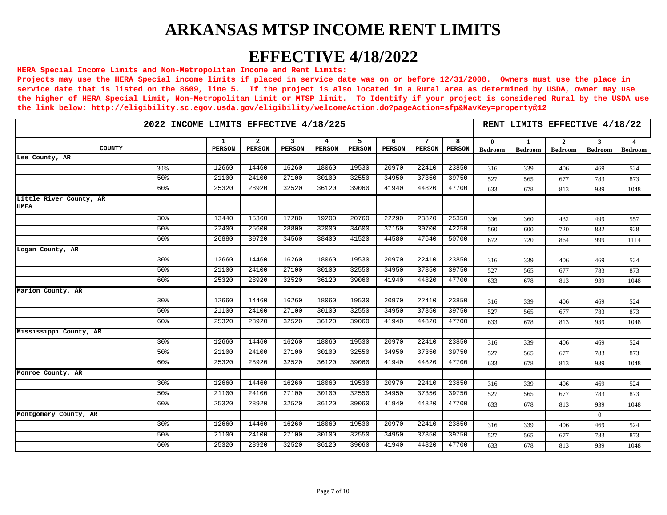## **EFFECTIVE 4/18/2022**

#### **HERA Special Income Limits and Non-Metropolitan Income and Rent Limits:**

|                                        | 2022 INCOME LIMITS EFFECTIVE 4/18/225<br>5<br>$7\phantom{.0}$<br>$\overline{a}$<br>3<br>6<br>1<br>4<br><b>COUNTY</b> |               |               |               |               |               |               |               |                    |                                |                     |                                  | RENT LIMITS EFFECTIVE 4/18/22 |                           |
|----------------------------------------|----------------------------------------------------------------------------------------------------------------------|---------------|---------------|---------------|---------------|---------------|---------------|---------------|--------------------|--------------------------------|---------------------|----------------------------------|-------------------------------|---------------------------|
|                                        |                                                                                                                      | <b>PERSON</b> | <b>PERSON</b> | <b>PERSON</b> | <b>PERSON</b> | <b>PERSON</b> | <b>PERSON</b> | <b>PERSON</b> | 8<br><b>PERSON</b> | $\mathbf{0}$<br><b>Bedroom</b> | 1<br><b>Bedroom</b> | $\overline{2}$<br><b>Bedroom</b> | $\mathbf{3}$<br>Bedroom       | $\overline{4}$<br>Bedroom |
| Lee County, AR                         |                                                                                                                      |               |               |               |               |               |               |               |                    |                                |                     |                                  |                               |                           |
|                                        | 30%                                                                                                                  | 12660         | 14460         | 16260         | 18060         | 19530         | 20970         | 22410         | 23850              | 316                            | 339                 | 406                              | 469                           | 524                       |
|                                        | 50 <sup>8</sup>                                                                                                      | 21100         | 24100         | 27100         | 30100         | 32550         | 34950         | 37350         | 39750              | 527                            | 565                 | 677                              | 783                           | 873                       |
|                                        | 60%                                                                                                                  | 25320         | 28920         | 32520         | 36120         | 39060         | 41940         | 44820         | 47700              | 633                            | 678                 | 813                              | 939                           | 1048                      |
| Little River County, AR<br><b>HMFA</b> |                                                                                                                      |               |               |               |               |               |               |               |                    |                                |                     |                                  |                               |                           |
|                                        | 30 <sup>8</sup>                                                                                                      | 13440         | 15360         | 17280         | 19200         | 20760         | 22290         | 23820         | 25350              | 336                            | 360                 | 432                              | 499                           | 557                       |
|                                        | 50 <sup>8</sup>                                                                                                      | 22400         | 25600         | 28800         | 32000         | 34600         | 37150         | 39700         | 42250              | 560                            | 600                 | 720                              | 832                           | 928                       |
|                                        | 60 <sup>8</sup>                                                                                                      | 26880         | 30720         | 34560         | 38400         | 41520         | 44580         | 47640         | 50700              | 672                            | 720                 | 864                              | 999                           | 1114                      |
| Logan County, AR                       |                                                                                                                      |               |               |               |               |               |               |               |                    |                                |                     |                                  |                               |                           |
|                                        | 30%                                                                                                                  | 12660         | 14460         | 16260         | 18060         | 19530         | 20970         | 22410         | 23850              | 316                            | 339                 | 406                              | 469                           | 524                       |
|                                        | 50 <sup>8</sup>                                                                                                      | 21100         | 24100         | 27100         | 30100         | 32550         | 34950         | 37350         | 39750              | 527                            | 565                 | 677                              | 783                           | 873                       |
|                                        | 60%                                                                                                                  | 25320         | 28920         | 32520         | 36120         | 39060         | 41940         | 44820         | 47700              | 633                            | 678                 | 813                              | 939                           | 1048                      |
| Marion County, AR                      |                                                                                                                      |               |               |               |               |               |               |               |                    |                                |                     |                                  |                               |                           |
|                                        | 30 <sup>8</sup>                                                                                                      | 12660         | 14460         | 16260         | 18060         | 19530         | 20970         | 22410         | 23850              | 316                            | 339                 | 406                              | 469                           | 524                       |
|                                        | 50%                                                                                                                  | 21100         | 24100         | 27100         | 30100         | 32550         | 34950         | 37350         | 39750              | 527                            | 565                 | 677                              | 783                           | 873                       |
|                                        | 60%                                                                                                                  | 25320         | 28920         | 32520         | 36120         | 39060         | 41940         | 44820         | 47700              | 633                            | 678                 | 813                              | 939                           | 1048                      |
| Mississippi County, AR                 |                                                                                                                      |               |               |               |               |               |               |               |                    |                                |                     |                                  |                               |                           |
|                                        | 30 <sup>8</sup>                                                                                                      | 12660         | 14460         | 16260         | 18060         | 19530         | 20970         | 22410         | 23850              | 316                            | 339                 | 406                              | 469                           | 524                       |
|                                        | 50 <sup>8</sup>                                                                                                      | 21100         | 24100         | 27100         | 30100         | 32550         | 34950         | 37350         | 39750              | 527                            | 565                 | 677                              | 783                           | 873                       |
|                                        | 60%                                                                                                                  | 25320         | 28920         | 32520         | 36120         | 39060         | 41940         | 44820         | 47700              | 633                            | 678                 | 813                              | 939                           | 1048                      |
| Monroe County, AR                      |                                                                                                                      |               |               |               |               |               |               |               |                    |                                |                     |                                  |                               |                           |
|                                        | 30 <sup>8</sup>                                                                                                      | 12660         | 14460         | 16260         | 18060         | 19530         | 20970         | 22410         | 23850              | 316                            | 339                 | 406                              | 469                           | 524                       |
|                                        | 50%                                                                                                                  | 21100         | 24100         | 27100         | 30100         | 32550         | 34950         | 37350         | 39750              | 527                            | 565                 | 677                              | 783                           | 873                       |
|                                        | 60%                                                                                                                  | 25320         | 28920         | 32520         | 36120         | 39060         | 41940         | 44820         | 47700              | 633                            | 678                 | 813                              | 939                           | 1048                      |
| Montgomery County, AR                  |                                                                                                                      |               |               |               |               |               |               |               |                    |                                |                     |                                  | $\Omega$                      |                           |
|                                        | 30 <sup>8</sup>                                                                                                      | 12660         | 14460         | 16260         | 18060         | 19530         | 20970         | 22410         | 23850              | 316                            | 339                 | 406                              | 469                           | 524                       |
|                                        | 50 <sup>8</sup>                                                                                                      | 21100         | 24100         | 27100         | 30100         | 32550         | 34950         | 37350         | 39750              | 527                            | 565                 | 677                              | 783                           | 873                       |
|                                        | 60%                                                                                                                  | 25320         | 28920         | 32520         | 36120         | 39060         | 41940         | 44820         | 47700              | 633                            | 678                 | 813                              | 939                           | 1048                      |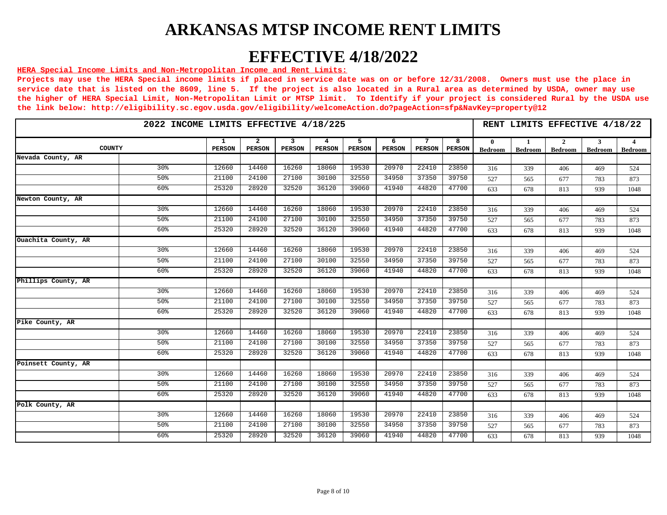## **EFFECTIVE 4/18/2022**

#### **HERA Special Income Limits and Non-Metropolitan Income and Rent Limits:**

|                     | 2022 INCOME LIMITS EFFECTIVE 4/18/225<br>5<br>7<br>-2<br>3<br>6<br>1<br>4<br>COUNTY<br><b>PERSON</b><br><b>PERSON</b><br><b>PERSON</b><br><b>PERSON</b><br><b>PERSON</b><br><b>PERSON</b><br><b>PERSON</b> |       |       |       |       |       |       |                    |                                |                                |                                  |                     |                           |
|---------------------|------------------------------------------------------------------------------------------------------------------------------------------------------------------------------------------------------------|-------|-------|-------|-------|-------|-------|--------------------|--------------------------------|--------------------------------|----------------------------------|---------------------|---------------------------|
|                     |                                                                                                                                                                                                            |       |       |       |       |       |       | 8<br><b>PERSON</b> | $\mathbf{0}$<br><b>Bedroom</b> | $\mathbf{1}$<br><b>Bedroom</b> | $\overline{2}$<br><b>Bedroom</b> | 3<br><b>Bedroom</b> | $\overline{4}$<br>Bedroom |
| Nevada County, AR   |                                                                                                                                                                                                            |       |       |       |       |       |       |                    |                                |                                |                                  |                     |                           |
| 30 <sup>8</sup>     | 12660                                                                                                                                                                                                      | 14460 | 16260 | 18060 | 19530 | 20970 | 22410 | 23850              | 316                            | 339                            | 406                              | 469                 | 524                       |
| 50 <sup>o</sup>     | 21100                                                                                                                                                                                                      | 24100 | 27100 | 30100 | 32550 | 34950 | 37350 | 39750              | 527                            | 565                            | 677                              | 783                 | 873                       |
| 60%                 | 25320                                                                                                                                                                                                      | 28920 | 32520 | 36120 | 39060 | 41940 | 44820 | 47700              | 633                            | 678                            | 813                              | 939                 | 1048                      |
| Newton County, AR   |                                                                                                                                                                                                            |       |       |       |       |       |       |                    |                                |                                |                                  |                     |                           |
| 30 <sup>8</sup>     | 12660                                                                                                                                                                                                      | 14460 | 16260 | 18060 | 19530 | 20970 | 22410 | 23850              | 316                            | 339                            | 406                              | 469                 | 524                       |
| 50%                 | 21100                                                                                                                                                                                                      | 24100 | 27100 | 30100 | 32550 | 34950 | 37350 | 39750              | 527                            | 565                            | 677                              | 783                 | 873                       |
| 60 <sup>8</sup>     | 25320                                                                                                                                                                                                      | 28920 | 32520 | 36120 | 39060 | 41940 | 44820 | 47700              | 633                            | 678                            | 813                              | 939                 | 1048                      |
| Ouachita County, AR |                                                                                                                                                                                                            |       |       |       |       |       |       |                    |                                |                                |                                  |                     |                           |
| 30%                 | 12660                                                                                                                                                                                                      | 14460 | 16260 | 18060 | 19530 | 20970 | 22410 | 23850              | 316                            | 339                            | 406                              | 469                 | 524                       |
| 50 <sup>8</sup>     | 21100                                                                                                                                                                                                      | 24100 | 27100 | 30100 | 32550 | 34950 | 37350 | 39750              | 527                            | 565                            | 677                              | 783                 | 873                       |
| 60 <sup>8</sup>     | 25320                                                                                                                                                                                                      | 28920 | 32520 | 36120 | 39060 | 41940 | 44820 | 47700              | 633                            | 678                            | 813                              | 939                 | 1048                      |
| Phillips County, AR |                                                                                                                                                                                                            |       |       |       |       |       |       |                    |                                |                                |                                  |                     |                           |
| 30 <sup>8</sup>     | 12660                                                                                                                                                                                                      | 14460 | 16260 | 18060 | 19530 | 20970 | 22410 | 23850              | 316                            | 339                            | 406                              | 469                 | 524                       |
| 50%                 | 21100                                                                                                                                                                                                      | 24100 | 27100 | 30100 | 32550 | 34950 | 37350 | 39750              | 527                            | 565                            | 677                              | 783                 | 873                       |
| 60 <sup>8</sup>     | 25320                                                                                                                                                                                                      | 28920 | 32520 | 36120 | 39060 | 41940 | 44820 | 47700              | 633                            | 678                            | 813                              | 939                 | 1048                      |
| Pike County, AR     |                                                                                                                                                                                                            |       |       |       |       |       |       |                    |                                |                                |                                  |                     |                           |
| 30%                 | 12660                                                                                                                                                                                                      | 14460 | 16260 | 18060 | 19530 | 20970 | 22410 | 23850              | 316                            | 339                            | 406                              | 469                 | 524                       |
| 50%                 | 21100                                                                                                                                                                                                      | 24100 | 27100 | 30100 | 32550 | 34950 | 37350 | 39750              | 527                            | 565                            | 677                              | 783                 | 873                       |
| 60 <sup>8</sup>     | 25320                                                                                                                                                                                                      | 28920 | 32520 | 36120 | 39060 | 41940 | 44820 | 47700              | 633                            | 678                            | 813                              | 939                 | 1048                      |
| Poinsett County, AR |                                                                                                                                                                                                            |       |       |       |       |       |       |                    |                                |                                |                                  |                     |                           |
| 30 <sup>8</sup>     | 12660                                                                                                                                                                                                      | 14460 | 16260 | 18060 | 19530 | 20970 | 22410 | 23850              | 316                            | 339                            | 406                              | 469                 | 524                       |
| 50 <sup>8</sup>     | 21100                                                                                                                                                                                                      | 24100 | 27100 | 30100 | 32550 | 34950 | 37350 | 39750              | 527                            | 565                            | 677                              | 783                 | 873                       |
| 60 <sup>8</sup>     | 25320                                                                                                                                                                                                      | 28920 | 32520 | 36120 | 39060 | 41940 | 44820 | 47700              | 633                            | 678                            | 813                              | 939                 | 1048                      |
| Polk County, AR     |                                                                                                                                                                                                            |       |       |       |       |       |       |                    |                                |                                |                                  |                     |                           |
| 30 <sup>8</sup>     | 12660                                                                                                                                                                                                      | 14460 | 16260 | 18060 | 19530 | 20970 | 22410 | 23850              | 316                            | 339                            | 406                              | 469                 | 524                       |
| 50%                 | 21100                                                                                                                                                                                                      | 24100 | 27100 | 30100 | 32550 | 34950 | 37350 | 39750              | 527                            | 565                            | 677                              | 783                 | 873                       |
| 60 <sup>8</sup>     | 25320                                                                                                                                                                                                      | 28920 | 32520 | 36120 | 39060 | 41940 | 44820 | 47700              | 633                            | 678                            | 813                              | 939                 | 1048                      |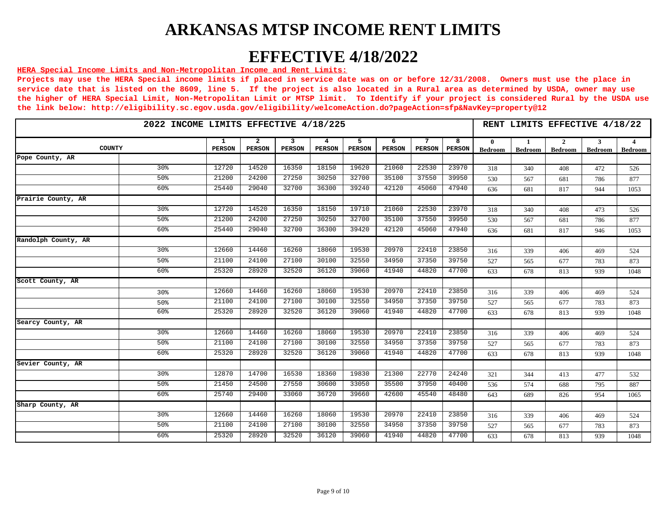## **EFFECTIVE 4/18/2022**

#### **HERA Special Income Limits and Non-Metropolitan Income and Rent Limits:**

|                     | 2022 INCOME LIMITS EFFECTIVE 4/18/225<br>5<br>$7\phantom{.0}$<br>-2<br>3<br>6<br>1<br>4<br>COUNTY<br><b>PERSON</b><br><b>PERSON</b><br><b>PERSON</b><br><b>PERSON</b><br><b>PERSON</b><br><b>PERSON</b><br><b>PERSON</b> |       |       |       |       |       |       |                    |                                |                                |                                  |                     |                           |
|---------------------|--------------------------------------------------------------------------------------------------------------------------------------------------------------------------------------------------------------------------|-------|-------|-------|-------|-------|-------|--------------------|--------------------------------|--------------------------------|----------------------------------|---------------------|---------------------------|
|                     |                                                                                                                                                                                                                          |       |       |       |       |       |       | 8<br><b>PERSON</b> | $\mathbf{0}$<br><b>Bedroom</b> | $\mathbf{1}$<br><b>Bedroom</b> | $\overline{2}$<br><b>Bedroom</b> | 3<br><b>Bedroom</b> | $\overline{4}$<br>Bedroom |
| Pope County, AR     |                                                                                                                                                                                                                          |       |       |       |       |       |       |                    |                                |                                |                                  |                     |                           |
| 30 <sup>8</sup>     | 12720                                                                                                                                                                                                                    | 14520 | 16350 | 18150 | 19620 | 21060 | 22530 | 23970              | 318                            | 340                            | 408                              | 472                 | 526                       |
| 50 <sup>o</sup>     | 21200                                                                                                                                                                                                                    | 24200 | 27250 | 30250 | 32700 | 35100 | 37550 | 39950              | 530                            | 567                            | 681                              | 786                 | 877                       |
| 60%                 | 25440                                                                                                                                                                                                                    | 29040 | 32700 | 36300 | 39240 | 42120 | 45060 | 47940              | 636                            | 681                            | 817                              | 944                 | 1053                      |
| Prairie County, AR  |                                                                                                                                                                                                                          |       |       |       |       |       |       |                    |                                |                                |                                  |                     |                           |
| 30 <sup>8</sup>     | 12720                                                                                                                                                                                                                    | 14520 | 16350 | 18150 | 19710 | 21060 | 22530 | 23970              | 318                            | 340                            | 408                              | 473                 | 526                       |
| 50%                 | 21200                                                                                                                                                                                                                    | 24200 | 27250 | 30250 | 32700 | 35100 | 37550 | 39950              | 530                            | 567                            | 681                              | 786                 | 877                       |
| 60 <sup>8</sup>     | 25440                                                                                                                                                                                                                    | 29040 | 32700 | 36300 | 39420 | 42120 | 45060 | 47940              | 636                            | 681                            | 817                              | 946                 | 1053                      |
| Randolph County, AR |                                                                                                                                                                                                                          |       |       |       |       |       |       |                    |                                |                                |                                  |                     |                           |
| 30%                 | 12660                                                                                                                                                                                                                    | 14460 | 16260 | 18060 | 19530 | 20970 | 22410 | 23850              | 316                            | 339                            | 406                              | 469                 | 524                       |
| 50 <sup>8</sup>     | 21100                                                                                                                                                                                                                    | 24100 | 27100 | 30100 | 32550 | 34950 | 37350 | 39750              | 527                            | 565                            | 677                              | 783                 | 873                       |
| 60 <sup>8</sup>     | 25320                                                                                                                                                                                                                    | 28920 | 32520 | 36120 | 39060 | 41940 | 44820 | 47700              | 633                            | 678                            | 813                              | 939                 | 1048                      |
| Scott County, AR    |                                                                                                                                                                                                                          |       |       |       |       |       |       |                    |                                |                                |                                  |                     |                           |
| 30%                 | 12660                                                                                                                                                                                                                    | 14460 | 16260 | 18060 | 19530 | 20970 | 22410 | 23850              | 316                            | 339                            | 406                              | 469                 | 524                       |
| 50%                 | 21100                                                                                                                                                                                                                    | 24100 | 27100 | 30100 | 32550 | 34950 | 37350 | 39750              | 527                            | 565                            | 677                              | 783                 | 873                       |
| 60 <sup>8</sup>     | 25320                                                                                                                                                                                                                    | 28920 | 32520 | 36120 | 39060 | 41940 | 44820 | 47700              | 633                            | 678                            | 813                              | 939                 | 1048                      |
| Searcy County, AR   |                                                                                                                                                                                                                          |       |       |       |       |       |       |                    |                                |                                |                                  |                     |                           |
| 30%                 | 12660                                                                                                                                                                                                                    | 14460 | 16260 | 18060 | 19530 | 20970 | 22410 | 23850              | 316                            | 339                            | 406                              | 469                 | 524                       |
| 50%                 | 21100                                                                                                                                                                                                                    | 24100 | 27100 | 30100 | 32550 | 34950 | 37350 | 39750              | 527                            | 565                            | 677                              | 783                 | 873                       |
| 60 <sup>8</sup>     | 25320                                                                                                                                                                                                                    | 28920 | 32520 | 36120 | 39060 | 41940 | 44820 | 47700              | 633                            | 678                            | 813                              | 939                 | 1048                      |
| Sevier County, AR   |                                                                                                                                                                                                                          |       |       |       |       |       |       |                    |                                |                                |                                  |                     |                           |
| 30%                 | 12870                                                                                                                                                                                                                    | 14700 | 16530 | 18360 | 19830 | 21300 | 22770 | 24240              | 321                            | 344                            | 413                              | 477                 | 532                       |
| 50 <sup>8</sup>     | 21450                                                                                                                                                                                                                    | 24500 | 27550 | 30600 | 33050 | 35500 | 37950 | 40400              | 536                            | 574                            | 688                              | 795                 | 887                       |
| 60 <sup>8</sup>     | 25740                                                                                                                                                                                                                    | 29400 | 33060 | 36720 | 39660 | 42600 | 45540 | 48480              | 643                            | 689                            | 826                              | 954                 | 1065                      |
| Sharp County, AR    |                                                                                                                                                                                                                          |       |       |       |       |       |       |                    |                                |                                |                                  |                     |                           |
| 30%                 | 12660                                                                                                                                                                                                                    | 14460 | 16260 | 18060 | 19530 | 20970 | 22410 | 23850              | 316                            | 339                            | 406                              | 469                 | 524                       |
| 50%                 | 21100                                                                                                                                                                                                                    | 24100 | 27100 | 30100 | 32550 | 34950 | 37350 | 39750              | 527                            | 565                            | 677                              | 783                 | 873                       |
| 60 <sup>8</sup>     | 25320                                                                                                                                                                                                                    | 28920 | 32520 | 36120 | 39060 | 41940 | 44820 | 47700              | 633                            | 678                            | 813                              | 939                 | 1048                      |